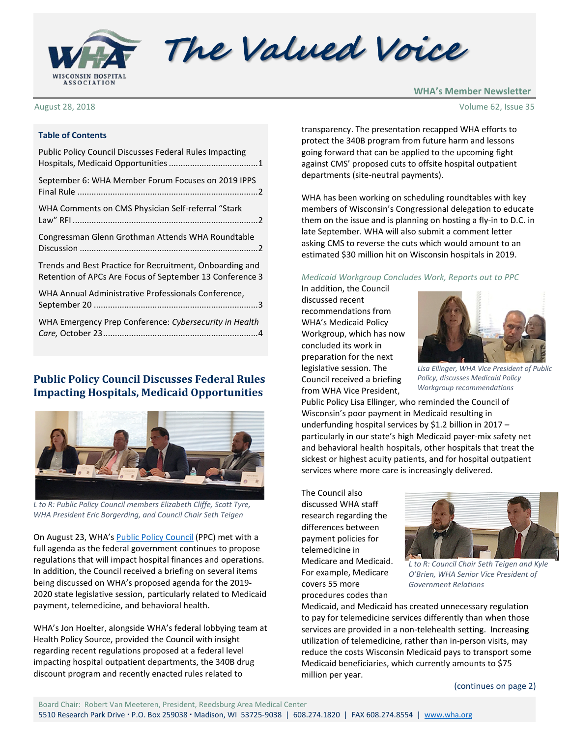

The Valued Voice

August 28, 2018

**WHA's Member Newsletter**

#### **Table of Contents**

| <b>Public Policy Council Discusses Federal Rules Impacting</b>                                                       |
|----------------------------------------------------------------------------------------------------------------------|
| September 6: WHA Member Forum Focuses on 2019 IPPS                                                                   |
| WHA Comments on CMS Physician Self-referral "Stark                                                                   |
| Congressman Glenn Grothman Attends WHA Roundtable                                                                    |
| Trends and Best Practice for Recruitment, Onboarding and<br>Retention of APCs Are Focus of September 13 Conference 3 |
| WHA Annual Administrative Professionals Conference,                                                                  |
| WHA Emergency Prep Conference: Cybersecurity in Health                                                               |

#### <span id="page-0-0"></span>**Public Policy Council Discusses Federal Rules Impacting Hospitals, Medicaid Opportunities**



*L to R: Public Policy Council members Elizabeth Cliffe, Scott Tyre, WHA President Eric Borgerding, and Council Chair Seth Teigen*

On August 23, WHA's [Public Policy Council](http://www.wha.org/councilPublicPolicy.aspx) (PPC) met with a full agenda as the federal government continues to propose regulations that will impact hospital finances and operations. In addition, the Council received a briefing on several items being discussed on WHA's proposed agenda for the 2019- 2020 state legislative session, particularly related to Medicaid payment, telemedicine, and behavioral health.

WHA's Jon Hoelter, alongside WHA's federal lobbying team at Health Policy Source, provided the Council with insight regarding recent regulations proposed at a federal level impacting hospital outpatient departments, the 340B drug discount program and recently enacted rules related to

transparency. The presentation recapped WHA efforts to protect the 340B program from future harm and lessons going forward that can be applied to the upcoming fight against CMS' proposed cuts to offsite hospital outpatient departments (site-neutral payments).

WHA has been working on scheduling roundtables with key members of Wisconsin's Congressional delegation to educate them on the issue and is planning on hosting a fly-in to D.C. in late September. WHA will also submit a comment letter asking CMS to reverse the cuts which would amount to an estimated \$30 million hit on Wisconsin hospitals in 2019.

#### *Medicaid Workgroup Concludes Work, Reports out to PPC*

In addition, the Council discussed recent recommendations from WHA's Medicaid Policy Workgroup, which has now concluded its work in preparation for the next legislative session. The Council received a briefing from WHA Vice President,



*Lisa Ellinger, WHA Vice President of Public Policy, discusses Medicaid Policy Workgroup recommendations*

Public Policy Lisa Ellinger, who reminded the Council of Wisconsin's poor payment in Medicaid resulting in underfunding hospital services by \$1.2 billion in 2017 – particularly in our state's high Medicaid payer-mix safety net and behavioral health hospitals, other hospitals that treat the sickest or highest acuity patients, and for hospital outpatient services where more care is increasingly delivered.

The Council also discussed WHA staff research regarding the differences between payment policies for telemedicine in Medicare and Medicaid. For example, Medicare covers 55 more procedures codes than



*L to R: Council Chair Seth Teigen and Kyle O'Brien, WHA Senior Vice President of Government Relations*

Medicaid, and Medicaid has created unnecessary regulation to pay for telemedicine services differently than when those services are provided in a non-telehealth setting. Increasing utilization of telemedicine, rather than in-person visits, may reduce the costs Wisconsin Medicaid pays to transport some Medicaid beneficiaries, which currently amounts to \$75 million per year.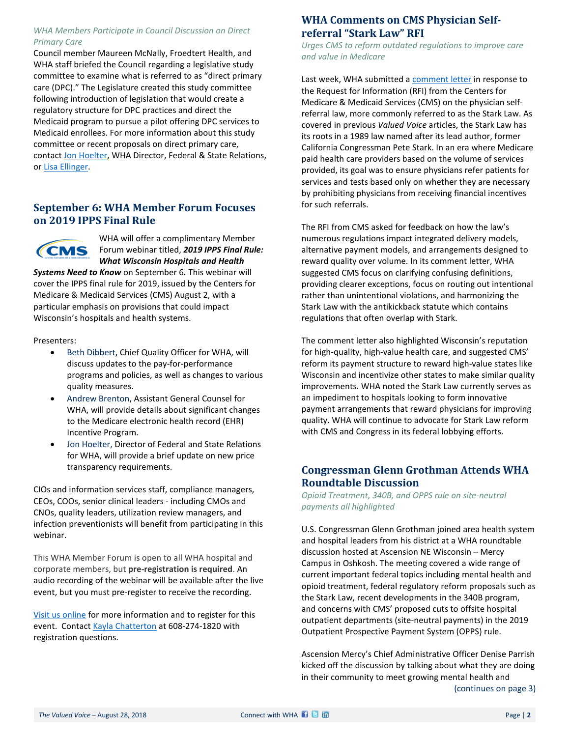#### *WHA Members Participate in Council Discussion on Direct Primary Care*

Council member Maureen McNally, Froedtert Health, and WHA staff briefed the Council regarding a legislative study committee to examine what is referred to as "direct primary care (DPC)." The Legislature created this study committee following introduction of legislation that would create a regulatory structure for DPC practices and direct the Medicaid program to pursue a pilot offering DPC services to Medicaid enrollees. For more information about this study committee or recent proposals on direct primary care, contac[t Jon Hoelter,](mailto:jhoelter@wha.org) WHA Director, Federal & State Relations, or [Lisa Ellinger.](mailto:lellinger@wha.org)

# <span id="page-1-0"></span>**September 6: WHA Member Forum Focuses on 2019 IPPS Final Rule**



WHA will offer a complimentary Member Forum webinar titled, *2019 IPPS Final Rule: What Wisconsin Hospitals and Health* 

*Systems Need to Know* on September 6*.* This webinar will cover the IPPS final rule for 2019, issued by the Centers for Medicare & Medicaid Services (CMS) August 2, with a particular emphasis on provisions that could impact Wisconsin's hospitals and health systems.

Presenters:

- Beth Dibbert, Chief Quality Officer for WHA, will discuss updates to the pay-for-performance programs and policies, as well as changes to various quality measures.
- Andrew Brenton, Assistant General Counsel for WHA, will provide details about significant changes to the Medicare electronic health record (EHR) Incentive Program.
- Jon Hoelter, Director of Federal and State Relations for WHA, will provide a brief update on new price transparency requirements.

CIOs and information services staff, compliance managers, CEOs, COOs, senior clinical leaders - including CMOs and CNOs, quality leaders, utilization review managers, and infection preventionists will benefit from participating in this webinar.

This WHA Member Forum is open to all WHA hospital and corporate members, but **pre-registration is required**. An audio recording of the webinar will be available after the live event, but you must pre-register to receive the recording.

[Visit us online](http://www.cvent.com/d/sgqy5q) for more information and to register for this event. Contact [Kayla Chatterton](mailto:kchatterton@wha.org) at 608-274-1820 with registration questions.

# <span id="page-1-1"></span>**WHA Comments on CMS Physician Selfreferral "Stark Law" RFI**

*Urges CMS to reform outdated regulations to improve care and value in Medicare*

Last week, WHA submitted a [comment letter](http://www.wha.org/pdf/2018WHA-Stark-RFI-Proposed-Rule-Final-Comments8-24.pdf) in response to the Request for Information (RFI) from the Centers for Medicare & Medicaid Services (CMS) on the physician selfreferral law, more commonly referred to as the Stark Law. As covered in previous *Valued Voice* articles, the Stark Law has its roots in a 1989 law named after its lead author, former California Congressman Pete Stark. In an era where Medicare paid health care providers based on the volume of services provided, its goal was to ensure physicians refer patients for services and tests based only on whether they are necessary by prohibiting physicians from receiving financial incentives for such referrals.

The RFI from CMS asked for feedback on how the law's numerous regulations impact integrated delivery models, alternative payment models, and arrangements designed to reward quality over volume. In its comment letter, WHA suggested CMS focus on clarifying confusing definitions, providing clearer exceptions, focus on routing out intentional rather than unintentional violations, and harmonizing the Stark Law with the antikickback statute which contains regulations that often overlap with Stark.

The comment letter also highlighted Wisconsin's reputation for high-quality, high-value health care, and suggested CMS' reform its payment structure to reward high-value states like Wisconsin and incentivize other states to make similar quality improvements. WHA noted the Stark Law currently serves as an impediment to hospitals looking to form innovative payment arrangements that reward physicians for improving quality. WHA will continue to advocate for Stark Law reform with CMS and Congress in its federal lobbying efforts.

# <span id="page-1-2"></span>**Congressman Glenn Grothman Attends WHA Roundtable Discussion**

*Opioid Treatment, 340B, and OPPS rule on site-neutral payments all highlighted*

U.S. Congressman Glenn Grothman joined area health system and hospital leaders from his district at a WHA roundtable discussion hosted at Ascension NE Wisconsin – Mercy Campus in Oshkosh. The meeting covered a wide range of current important federal topics including mental health and opioid treatment, federal regulatory reform proposals such as the Stark Law, recent developments in the 340B program, and concerns with CMS' proposed cuts to offsite hospital outpatient departments (site-neutral payments) in the 2019 Outpatient Prospective Payment System (OPPS) rule.

Ascension Mercy's Chief Administrative Officer Denise Parrish kicked off the discussion by talking about what they are doing in their community to meet growing mental health and

(continues on page 3)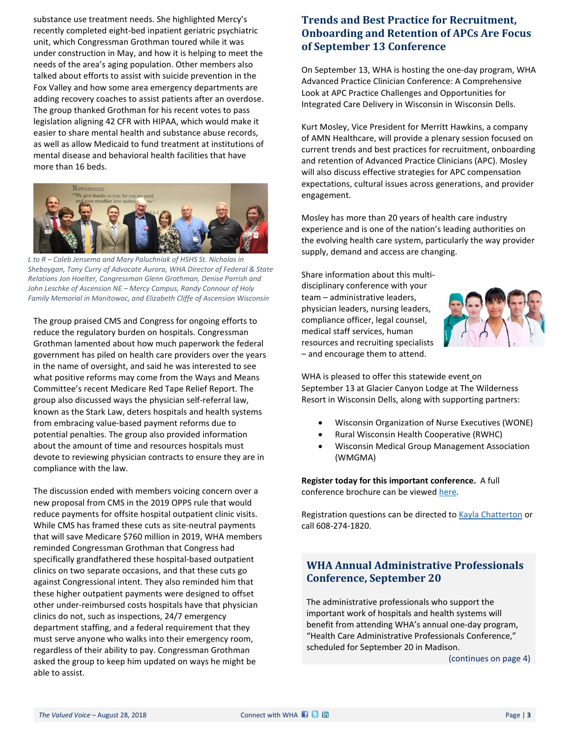substance use treatment needs. She highlighted Mercy's recently completed eight-bed inpatient geriatric psychiatric unit, which Congressman Grothman toured while it was under construction in May, and how it is helping to meet the needs of the area's aging population. Other members also talked about efforts to assist with suicide prevention in the Fox Valley and how some area emergency departments are adding recovery coaches to assist patients after an overdose. The group thanked Grothman for his recent votes to pass legislation aligning 42 CFR with HIPAA, which would make it easier to share mental health and substance abuse records, as well as allow Medicaid to fund treatment at institutions of mental disease and behavioral health facilities that have more than 16 beds.



*L to R – Caleb Jensema and Mary Paluchniak of HSHS St. Nicholas in Sheboygan, Tony Curry of Advocate Aurora, WHA Director of Federal & State Relations Jon Hoelter, Congressman Glenn Grothman, Denise Parrish and John Leschke of Ascension NE – Mercy Campus, Randy Connour of Holy Family Memorial in Manitowoc, and Elizabeth Cliffe of Ascension Wisconsin*

The group praised CMS and Congress for ongoing efforts to reduce the regulatory burden on hospitals. Congressman Grothman lamented about how much paperwork the federal government has piled on health care providers over the years in the name of oversight, and said he was interested to see what positive reforms may come from the Ways and Means Committee's recent Medicare Red Tape Relief Report. The group also discussed ways the physician self-referral law, known as the Stark Law, deters hospitals and health systems from embracing value-based payment reforms due to potential penalties. The group also provided information about the amount of time and resources hospitals must devote to reviewing physician contracts to ensure they are in compliance with the law.

The discussion ended with members voicing concern over a new proposal from CMS in the 2019 OPPS rule that would reduce payments for offsite hospital outpatient clinic visits. While CMS has framed these cuts as site-neutral payments that will save Medicare \$760 million in 2019, WHA members reminded Congressman Grothman that Congress had specifically grandfathered these hospital-based outpatient clinics on two separate occasions, and that these cuts go against Congressional intent. They also reminded him that these higher outpatient payments were designed to offset other under-reimbursed costs hospitals have that physician clinics do not, such as inspections, 24/7 emergency department staffing, and a federal requirement that they must serve anyone who walks into their emergency room, regardless of their ability to pay. Congressman Grothman asked the group to keep him updated on ways he might be able to assist.

### <span id="page-2-0"></span>**Trends and Best Practice for Recruitment, Onboarding and Retention of APCs Are Focus of September 13 Conference**

On September 13, WHA is hosting the one-day program, WHA Advanced Practice Clinician Conference: A Comprehensive Look at APC Practice Challenges and Opportunities for Integrated Care Delivery in Wisconsin in Wisconsin Dells.

Kurt Mosley, Vice President for Merritt Hawkins, a company of AMN Healthcare, will provide a plenary session focused on current trends and best practices for recruitment, onboarding and retention of Advanced Practice Clinicians (APC). Mosley will also discuss effective strategies for APC compensation expectations, cultural issues across generations, and provider engagement.

Mosley has more than 20 years of health care industry experience and is one of the nation's leading authorities on the evolving health care system, particularly the way provider supply, demand and access are changing.

Share information about this multidisciplinary conference with your team – administrative leaders, physician leaders, nursing leaders, compliance officer, legal counsel, medical staff services, human resources and recruiting specialists – and encourage them to attend.



WHA is pleased to offer this statewide event on September 13 at Glacier Canyon Lodge at The Wilderness Resort in Wisconsin Dells, along with supporting partners:

- Wisconsin Organization of Nurse Executives (WONE)
- Rural Wisconsin Health Cooperative (RWHC)
- Wisconsin Medical Group Management Association (WMGMA)

**[Register today](http://www.cvent.com/d/hgq74q) for this important conference.** A full conference brochure can be viewed here.

Registration questions can be directed to **Kayla Chatterton** or call 608-274-1820.

# <span id="page-2-1"></span>**WHA Annual Administrative Professionals Conference, September 20**

The administrative professionals who support the important work of hospitals and health systems will benefit from attending WHA's annual one-day program, "Health Care Administrative Professionals Conference," scheduled for September 20 in Madison.

(continues on page 4)